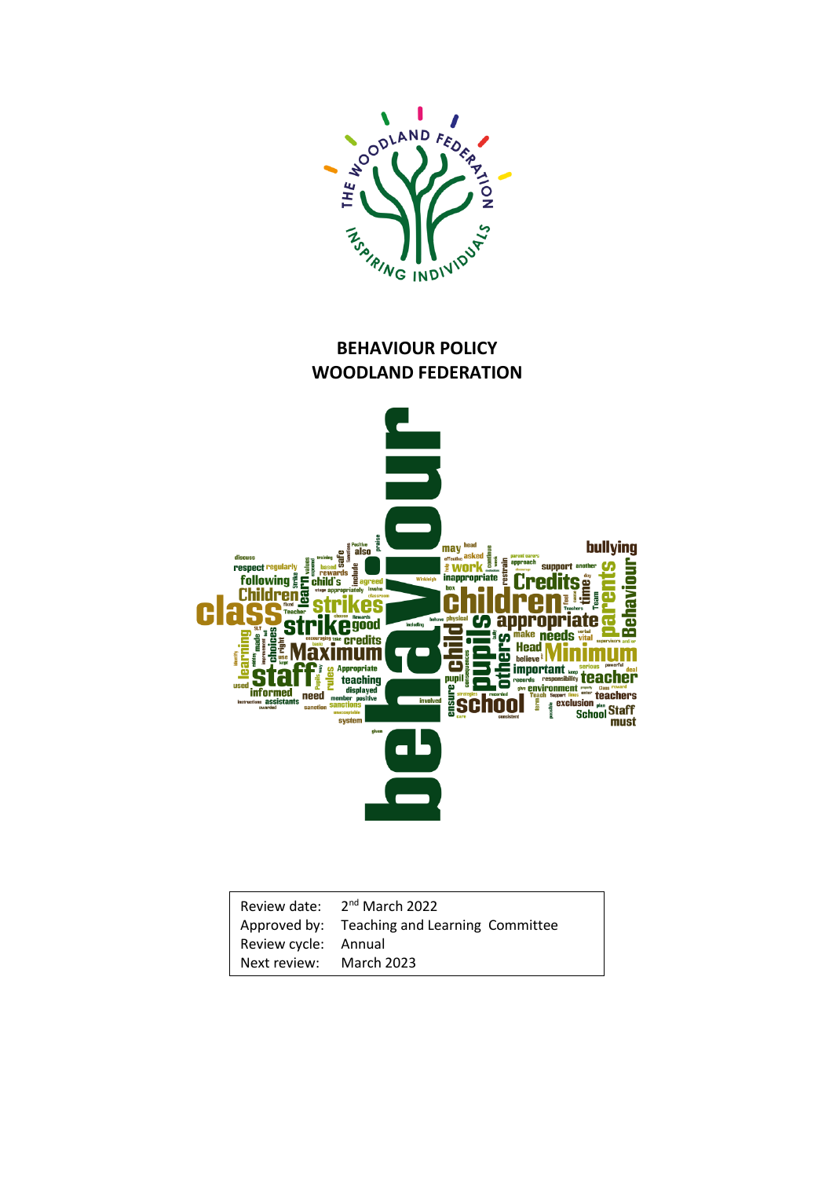

## **BEHAVIOUR POLICY WOODLAND FEDERATION**



|                         | Review date: 2 <sup>nd</sup> March 2022      |
|-------------------------|----------------------------------------------|
|                         | Approved by: Teaching and Learning Committee |
| Review cycle: Annual    |                                              |
| Next review: March 2023 |                                              |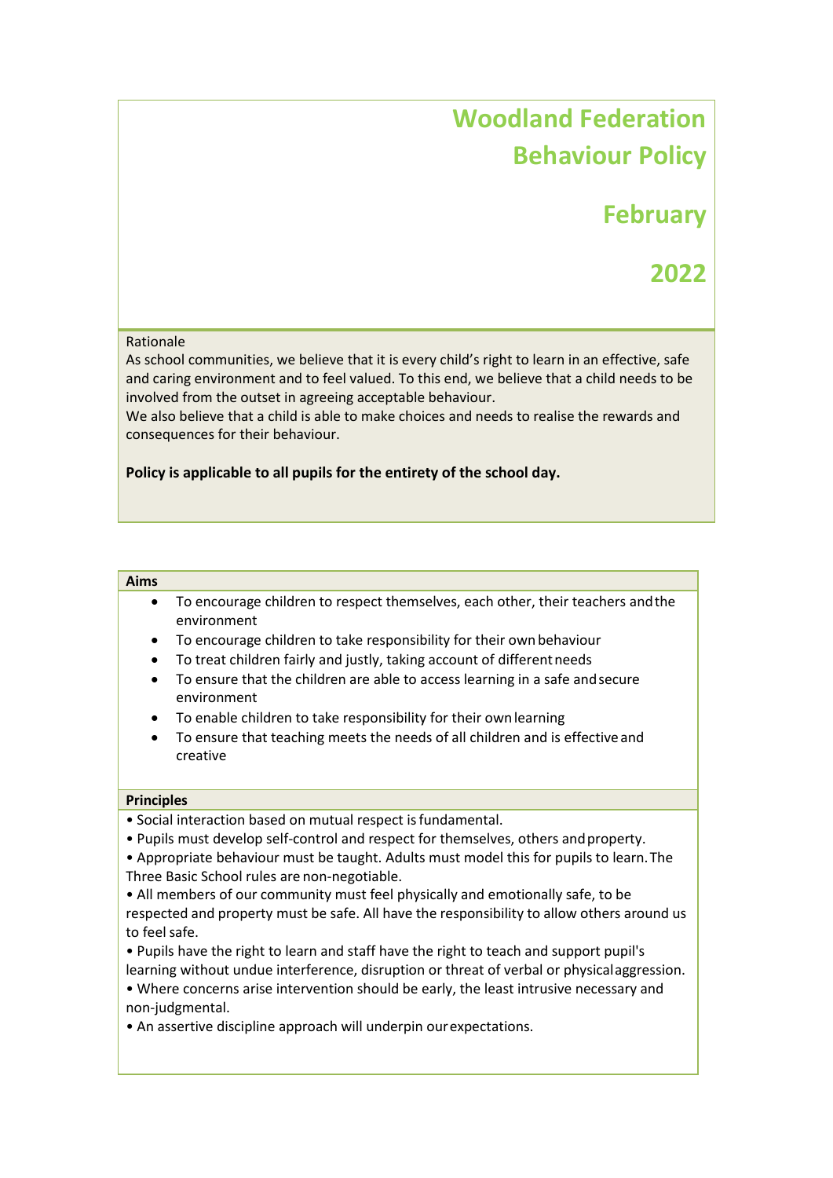# **Woodland Federation Behaviour Policy**

# **February**

## **2022**

### Rationale

As school communities, we believe that it is every child's right to learn in an effective, safe and caring environment and to feel valued. To this end, we believe that a child needs to be involved from the outset in agreeing acceptable behaviour.

We also believe that a child is able to make choices and needs to realise the rewards and consequences for their behaviour.

### **Policy is applicable to all pupils for the entirety of the school day.**

#### **Aims**

- To encourage children to respect themselves, each other, their teachers andthe environment
- To encourage children to take responsibility for their own behaviour
- To treat children fairly and justly, taking account of differentneeds
- To ensure that the children are able to access learning in a safe andsecure environment
- To enable children to take responsibility for their ownlearning
- To ensure that teaching meets the needs of all children and is effective and creative

#### **Principles**

- Social interaction based on mutual respect isfundamental.
- Pupils must develop self-control and respect for themselves, others andproperty.
- Appropriate behaviour must be taught. Adults must model this for pupils to learn.The Three Basic School rules are non-negotiable.
- All members of our community must feel physically and emotionally safe, to be respected and property must be safe. All have the responsibility to allow others around us to feelsafe.
- Pupils have the right to learn and staff have the right to teach and support pupil's learning without undue interference, disruption or threat of verbal or physicalaggression.
- Where concerns arise intervention should be early, the least intrusive necessary and non-judgmental.
- An assertive discipline approach will underpin ourexpectations.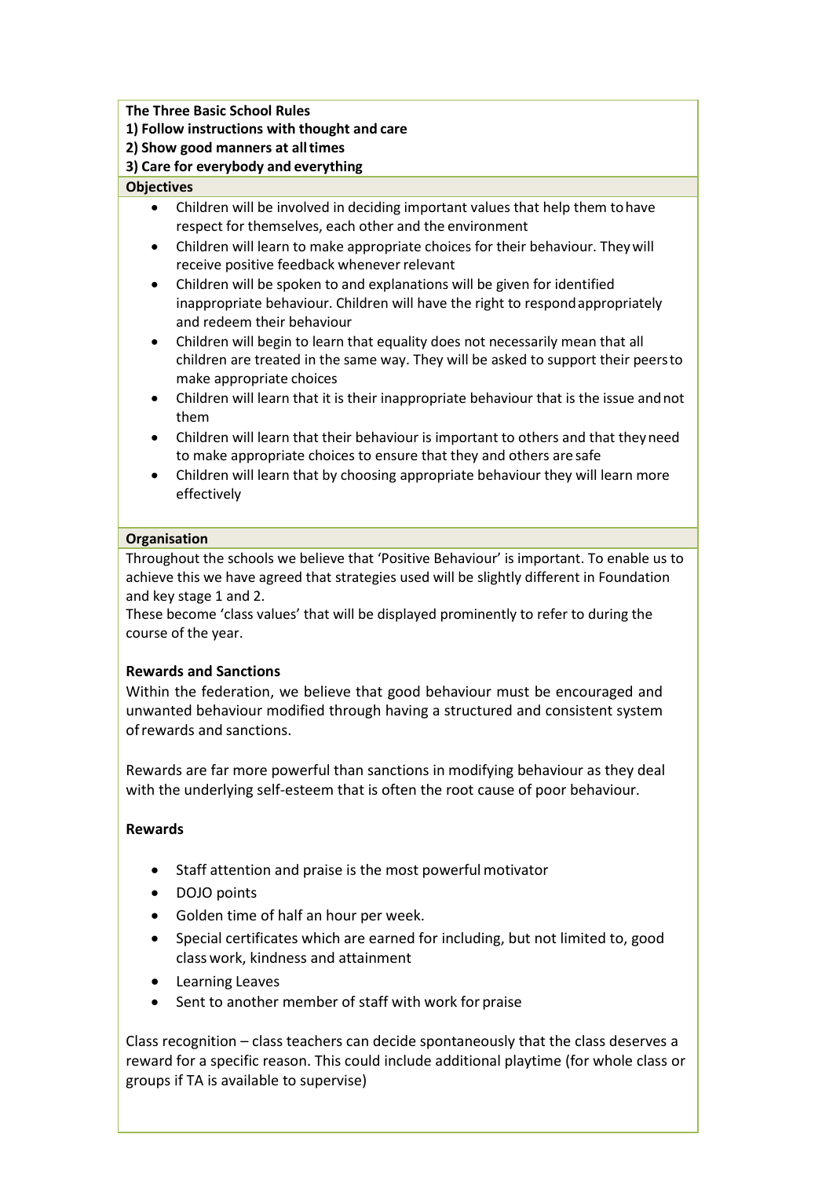**The Three Basic School Rules**

- **1) Follow instructions with thought and care**
- **2) Show good manners at alltimes**

**3) Care for everybody and everything**

## **Objectives**

- Children will be involved in deciding important values that help them tohave respect for themselves, each other and the environment
- Children will learn to make appropriate choices for their behaviour. Theywill receive positive feedback whenever relevant
- Children will be spoken to and explanations will be given for identified inappropriate behaviour. Children will have the right to respondappropriately and redeem their behaviour
- Children will begin to learn that equality does not necessarily mean that all children are treated in the same way. They will be asked to support their peersto make appropriate choices
- Children will learn that it is their inappropriate behaviour that is the issue andnot them
- Children will learn that their behaviour is important to others and that theyneed to make appropriate choices to ensure that they and others are safe
- Children will learn that by choosing appropriate behaviour they will learn more effectively

### **Organisation**

Throughout the schools we believe that 'Positive Behaviour' is important. To enable us to achieve this we have agreed that strategies used will be slightly different in Foundation and key stage 1 and 2.

These become 'class values' that will be displayed prominently to refer to during the course of the year.

## **Rewards and Sanctions**

Within the federation, we believe that good behaviour must be encouraged and unwanted behaviour modified through having a structured and consistent system ofrewards and sanctions.

Rewards are far more powerful than sanctions in modifying behaviour as they deal with the underlying self-esteem that is often the root cause of poor behaviour.

## **Rewards**

- Staff attention and praise is the most powerful motivator
- DOJO points
- Golden time of half an hour per week.
- Special certificates which are earned for including, but not limited to, good classwork, kindness and attainment
- Learning Leaves
- Sent to another member of staff with work for praise

Class recognition – class teachers can decide spontaneously that the class deserves a reward for a specific reason. This could include additional playtime (for whole class or groups if TA is available to supervise)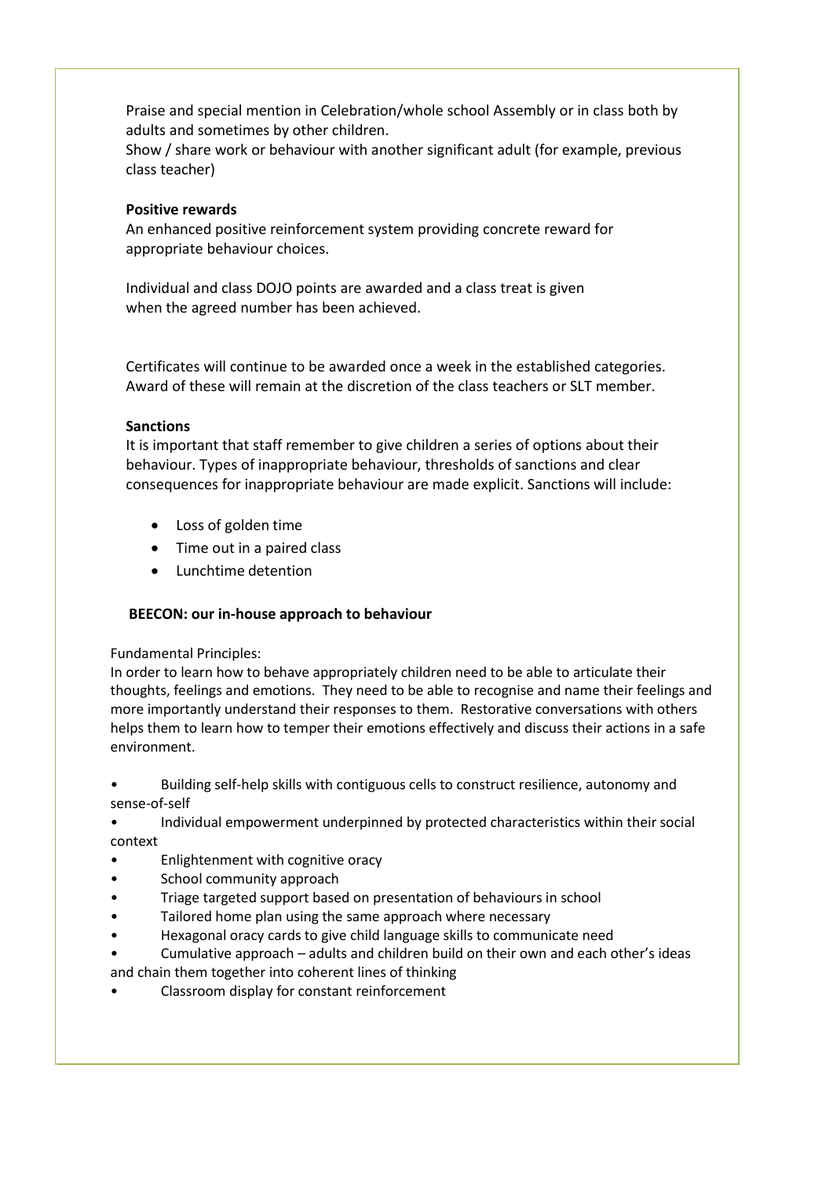Praise and special mention in Celebration/whole school Assembly or in class both by adults and sometimes by other children.

Show / share work or behaviour with another significant adult (for example, previous class teacher)

## **Positive rewards**

An enhanced positive reinforcement system providing concrete reward for appropriate behaviour choices.

Individual and class DOJO points are awarded and a class treat is given when the agreed number has been achieved.

Certificates will continue to be awarded once a week in the established categories. Award of these will remain at the discretion of the class teachers or SLT member.

### **Sanctions**

It is important that staff remember to give children a series of options about their behaviour. Types of inappropriate behaviour, thresholds of sanctions and clear consequences for inappropriate behaviour are made explicit. Sanctions will include:

- Loss of golden time
- Time out in a paired class
- Lunchtime detention

## **BEECON: our in-house approach to behaviour**

Fundamental Principles:

In order to learn how to behave appropriately children need to be able to articulate their thoughts, feelings and emotions. They need to be able to recognise and name their feelings and more importantly understand their responses to them. Restorative conversations with others helps them to learn how to temper their emotions effectively and discuss their actions in a safe environment.

- Building self-help skills with contiguous cells to construct resilience, autonomy and sense-of-self
- Individual empowerment underpinned by protected characteristics within their social context
- Enlightenment with cognitive oracy
- School community approach
- Triage targeted support based on presentation of behaviours in school
- Tailored home plan using the same approach where necessary
- Hexagonal oracy cards to give child language skills to communicate need
- Cumulative approach adults and children build on their own and each other's ideas and chain them together into coherent lines of thinking
- Classroom display for constant reinforcement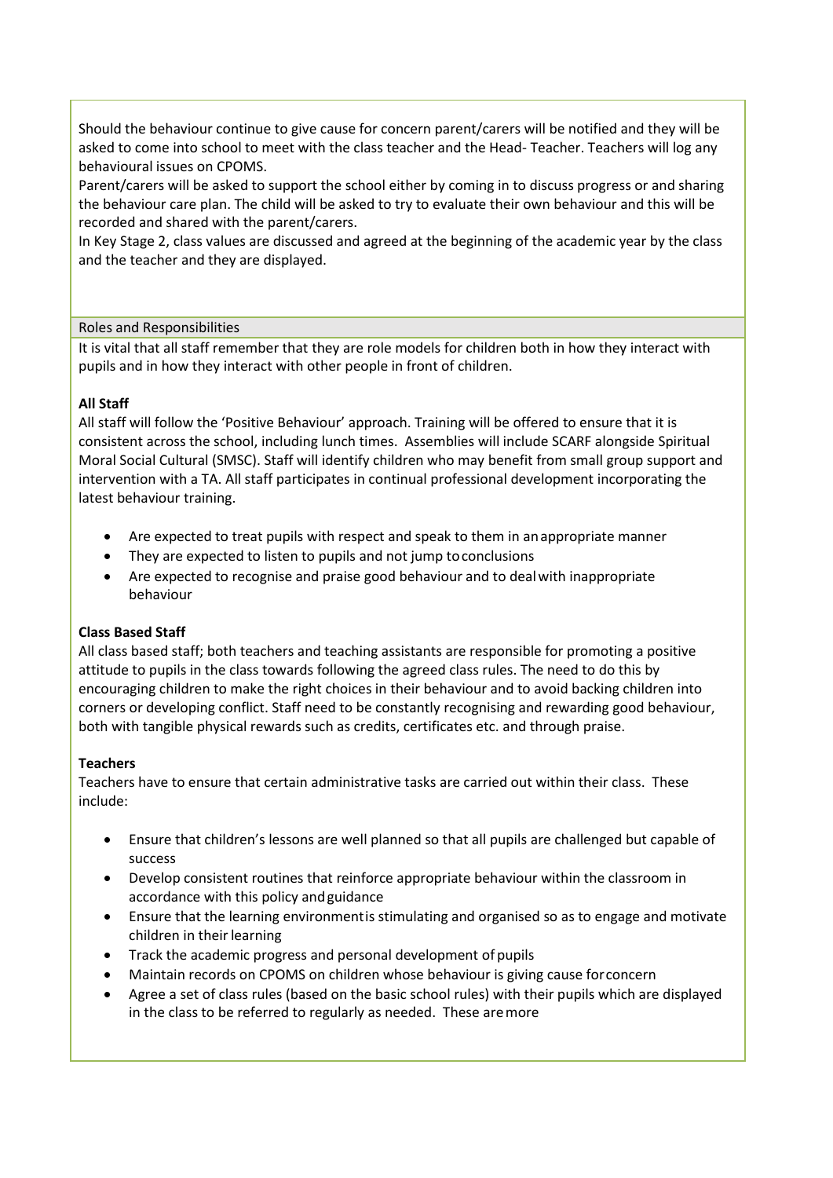Should the behaviour continue to give cause for concern parent/carers will be notified and they will be asked to come into school to meet with the class teacher and the Head- Teacher. Teachers will log any behavioural issues on CPOMS.

Parent/carers will be asked to support the school either by coming in to discuss progress or and sharing the behaviour care plan. The child will be asked to try to evaluate their own behaviour and this will be recorded and shared with the parent/carers.

In Key Stage 2, class values are discussed and agreed at the beginning of the academic year by the class and the teacher and they are displayed.

#### Roles and Responsibilities

It is vital that all staff remember that they are role models for children both in how they interact with pupils and in how they interact with other people in front of children.

#### **All Staff**

All staff will follow the 'Positive Behaviour' approach. Training will be offered to ensure that it is consistent across the school, including lunch times. Assemblies will include SCARF alongside Spiritual Moral Social Cultural (SMSC). Staff will identify children who may benefit from small group support and intervention with a TA. All staff participates in continual professional development incorporating the latest behaviour training.

- Are expected to treat pupils with respect and speak to them in anappropriate manner
- They are expected to listen to pupils and not jump toconclusions
- Are expected to recognise and praise good behaviour and to dealwith inappropriate behaviour

#### **Class Based Staff**

All class based staff; both teachers and teaching assistants are responsible for promoting a positive attitude to pupils in the class towards following the agreed class rules. The need to do this by encouraging children to make the right choices in their behaviour and to avoid backing children into corners or developing conflict. Staff need to be constantly recognising and rewarding good behaviour, both with tangible physical rewards such as credits, certificates etc. and through praise.

#### **Teachers**

Teachers have to ensure that certain administrative tasks are carried out within their class. These include:

- Ensure that children's lessons are well planned so that all pupils are challenged but capable of success
- Develop consistent routines that reinforce appropriate behaviour within the classroom in accordance with this policy andguidance
- Ensure that the learning environmentis stimulating and organised so as to engage and motivate children in their learning
- Track the academic progress and personal development of pupils
- Maintain records on CPOMS on children whose behaviour is giving cause forconcern
- Agree a set of class rules (based on the basic school rules) with their pupils which are displayed in the class to be referred to regularly as needed. These aremore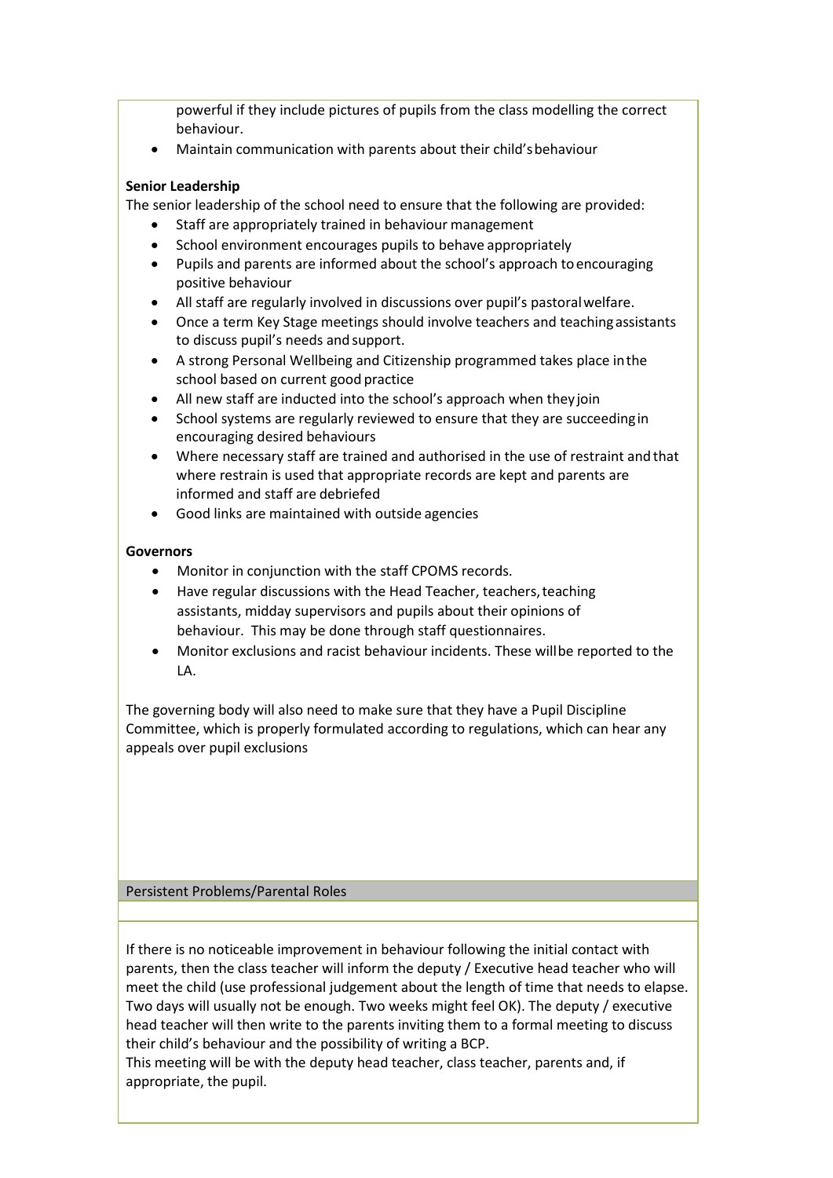powerful if they include pictures of pupils from the class modelling the correct behaviour.

Maintain communication with parents about their child'sbehaviour

## **Senior Leadership**

The senior leadership of the school need to ensure that the following are provided:

- Staff are appropriately trained in behaviour management
- School environment encourages pupils to behave appropriately
- Pupils and parents are informed about the school's approach toencouraging positive behaviour
- All staff are regularly involved in discussions over pupil's pastoralwelfare.
- Once a term Key Stage meetings should involve teachers and teachingassistants to discuss pupil's needs and support.
- A strong Personal Wellbeing and Citizenship programmed takes place inthe school based on current good practice
- All new staff are inducted into the school's approach when they join
- School systems are regularly reviewed to ensure that they are succeeding in encouraging desired behaviours
- Where necessary staff are trained and authorised in the use of restraint and that where restrain is used that appropriate records are kept and parents are informed and staff are debriefed
- Good links are maintained with outside agencies

## **Governors**

- Monitor in conjunction with the staff CPOMS records.
- Have regular discussions with the Head Teacher, teachers, teaching assistants, midday supervisors and pupils about their opinions of behaviour. This may be done through staff questionnaires.
- Monitor exclusions and racist behaviour incidents. These willbe reported to the LA.

The governing body will also need to make sure that they have a Pupil Discipline Committee, which is properly formulated according to regulations, which can hear any appeals over pupil exclusions

Persistent Problems/Parental Roles

If there is no noticeable improvement in behaviour following the initial contact with parents, then the class teacher will inform the deputy / Executive head teacher who will meet the child (use professional judgement about the length of time that needs to elapse. Two days will usually not be enough. Two weeks might feel OK). The deputy / executive head teacher will then write to the parents inviting them to a formal meeting to discuss their child's behaviour and the possibility of writing a BCP.

This meeting will be with the deputy head teacher, class teacher, parents and, if appropriate, the pupil.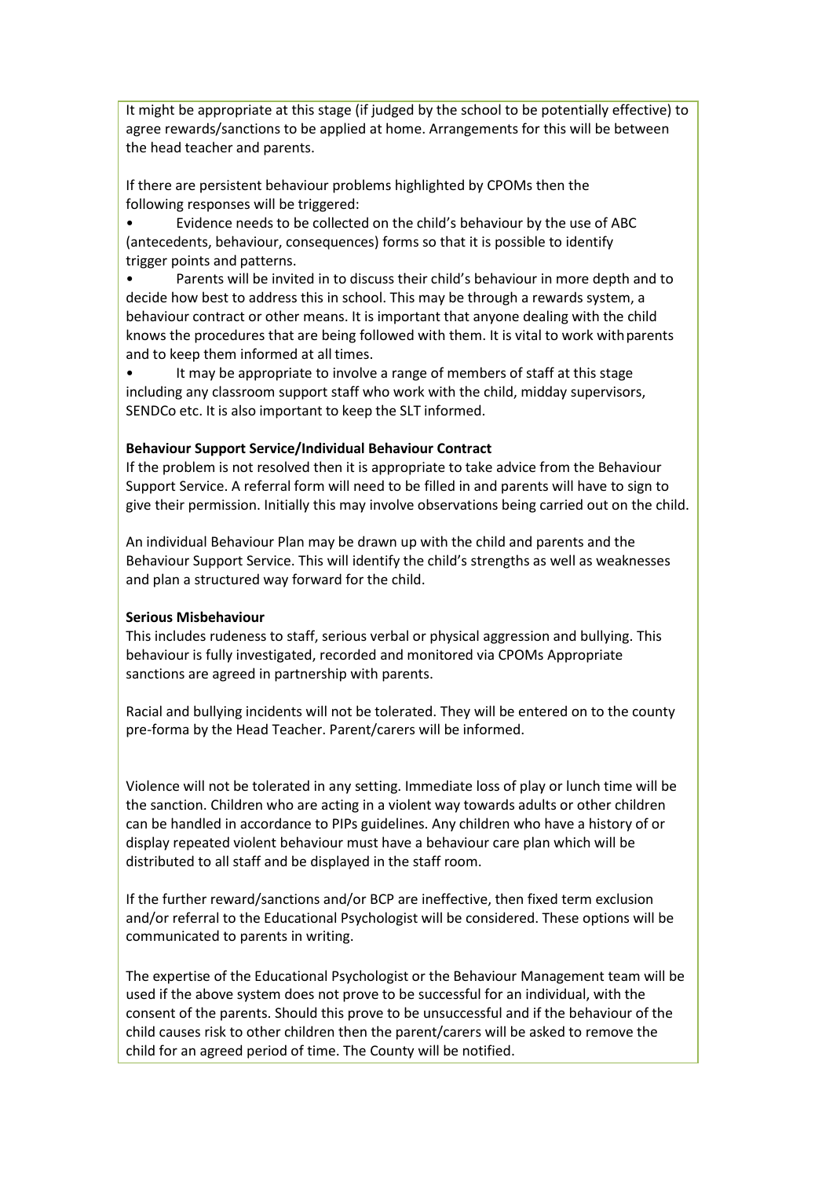It might be appropriate at this stage (if judged by the school to be potentially effective) to agree rewards/sanctions to be applied at home. Arrangements for this will be between the head teacher and parents.

If there are persistent behaviour problems highlighted by CPOMs then the following responses will be triggered:

• Evidence needs to be collected on the child's behaviour by the use of ABC (antecedents, behaviour, consequences) forms so that it is possible to identify trigger points and patterns.

Parents will be invited in to discuss their child's behaviour in more depth and to decide how best to address this in school. This may be through a rewards system, a behaviour contract or other means. It is important that anyone dealing with the child knows the procedures that are being followed with them. It is vital to work withparents and to keep them informed at all times.

It may be appropriate to involve a range of members of staff at this stage including any classroom support staff who work with the child, midday supervisors, SENDCo etc. It is also important to keep the SLT informed.

#### **Behaviour Support Service/Individual Behaviour Contract**

If the problem is not resolved then it is appropriate to take advice from the Behaviour Support Service. A referral form will need to be filled in and parents will have to sign to give their permission. Initially this may involve observations being carried out on the child.

An individual Behaviour Plan may be drawn up with the child and parents and the Behaviour Support Service. This will identify the child's strengths as well as weaknesses and plan a structured way forward for the child.

#### **Serious Misbehaviour**

This includes rudeness to staff, serious verbal or physical aggression and bullying. This behaviour is fully investigated, recorded and monitored via CPOMs Appropriate sanctions are agreed in partnership with parents.

Racial and bullying incidents will not be tolerated. They will be entered on to the county pre-forma by the Head Teacher. Parent/carers will be informed.

Violence will not be tolerated in any setting. Immediate loss of play or lunch time will be the sanction. Children who are acting in a violent way towards adults or other children can be handled in accordance to PIPs guidelines. Any children who have a history of or display repeated violent behaviour must have a behaviour care plan which will be distributed to all staff and be displayed in the staff room.

If the further reward/sanctions and/or BCP are ineffective, then fixed term exclusion and/or referral to the Educational Psychologist will be considered. These options will be communicated to parents in writing.

The expertise of the Educational Psychologist or the Behaviour Management team will be used if the above system does not prove to be successful for an individual, with the consent of the parents. Should this prove to be unsuccessful and if the behaviour of the child causes risk to other children then the parent/carers will be asked to remove the child for an agreed period of time. The County will be notified.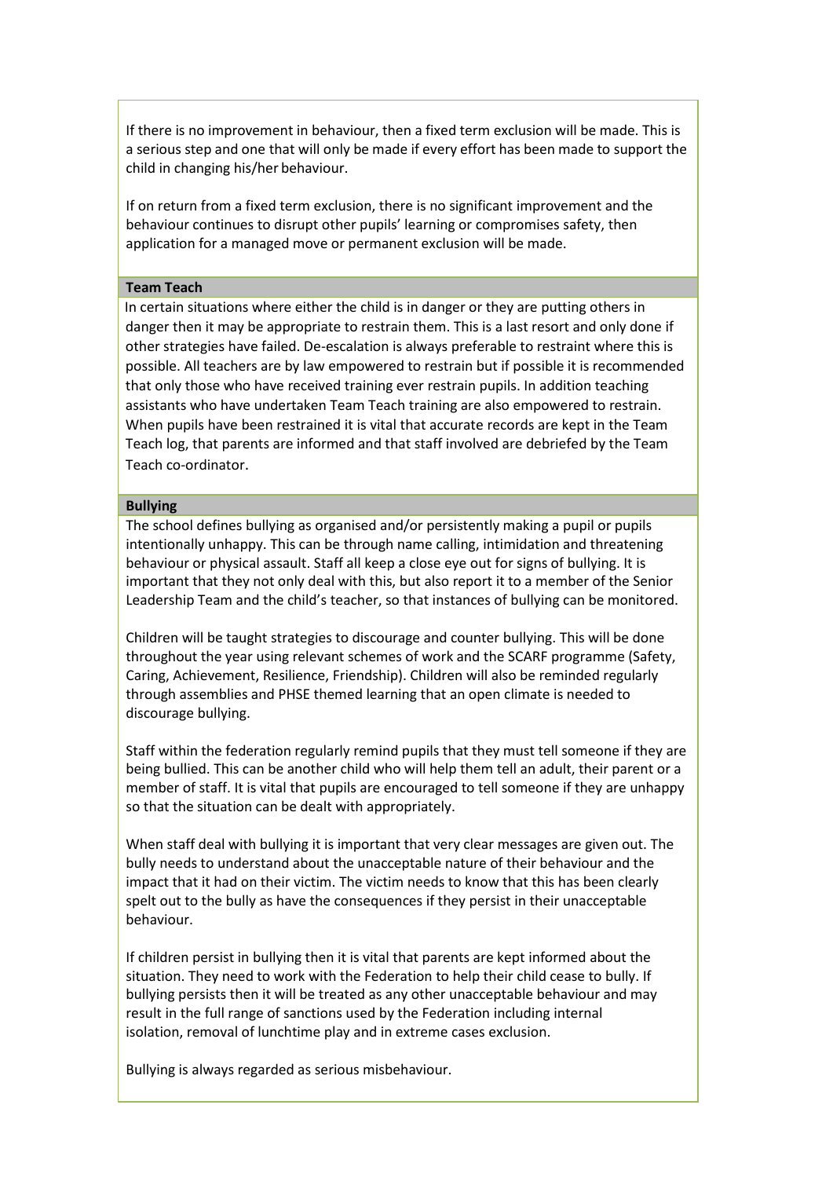If there is no improvement in behaviour, then a fixed term exclusion will be made. This is a serious step and one that will only be made if every effort has been made to support the child in changing his/her behaviour.

If on return from a fixed term exclusion, there is no significant improvement and the behaviour continues to disrupt other pupils' learning or compromises safety, then application for a managed move or permanent exclusion will be made.

#### **Team Teach**

In certain situations where either the child is in danger or they are putting others in danger then it may be appropriate to restrain them. This is a last resort and only done if other strategies have failed. De-escalation is always preferable to restraint where this is possible. All teachers are by law empowered to restrain but if possible it is recommended that only those who have received training ever restrain pupils. In addition teaching assistants who have undertaken Team Teach training are also empowered to restrain. When pupils have been restrained it is vital that accurate records are kept in the Team Teach log, that parents are informed and that staff involved are debriefed by the Team Teach co-ordinator.

#### **Bullying**

The school defines bullying as organised and/or persistently making a pupil or pupils intentionally unhappy. This can be through name calling, intimidation and threatening behaviour or physical assault. Staff all keep a close eye out for signs of bullying. It is important that they not only deal with this, but also report it to a member of the Senior Leadership Team and the child's teacher, so that instances of bullying can be monitored.

Children will be taught strategies to discourage and counter bullying. This will be done throughout the year using relevant schemes of work and the SCARF programme (Safety, Caring, Achievement, Resilience, Friendship). Children will also be reminded regularly through assemblies and PHSE themed learning that an open climate is needed to discourage bullying.

Staff within the federation regularly remind pupils that they must tell someone if they are being bullied. This can be another child who will help them tell an adult, their parent or a member of staff. It is vital that pupils are encouraged to tell someone if they are unhappy so that the situation can be dealt with appropriately.

When staff deal with bullying it is important that very clear messages are given out. The bully needs to understand about the unacceptable nature of their behaviour and the impact that it had on their victim. The victim needs to know that this has been clearly spelt out to the bully as have the consequences if they persist in their unacceptable behaviour.

If children persist in bullying then it is vital that parents are kept informed about the situation. They need to work with the Federation to help their child cease to bully. If bullying persists then it will be treated as any other unacceptable behaviour and may result in the full range of sanctions used by the Federation including internal isolation, removal of lunchtime play and in extreme cases exclusion.

Bullying is always regarded as serious misbehaviour.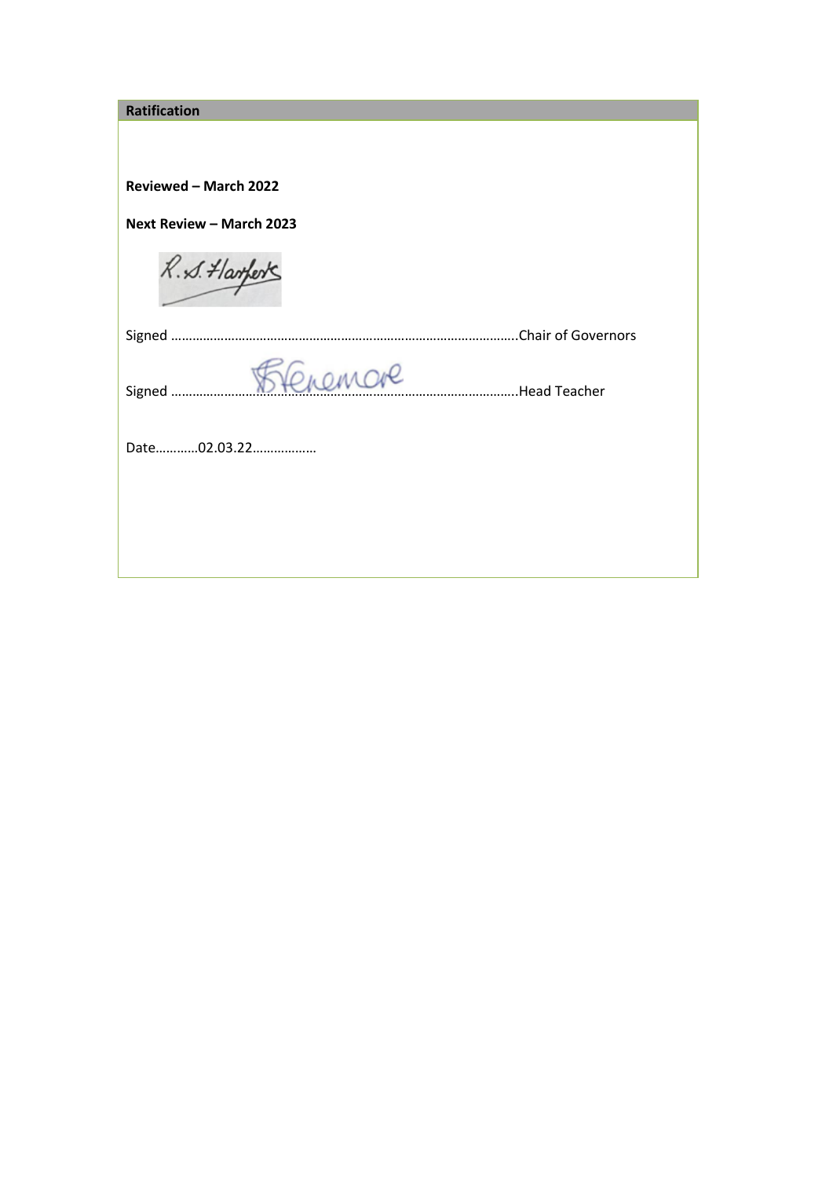| <b>Ratification</b>                |  |  |
|------------------------------------|--|--|
|                                    |  |  |
|                                    |  |  |
| Reviewed - March 2022              |  |  |
| Next Review - March 2023           |  |  |
| R. S. Harferts                     |  |  |
|                                    |  |  |
| feremare<br>Signed<br>Head Teacher |  |  |
| Date02.03.22                       |  |  |
|                                    |  |  |
|                                    |  |  |
|                                    |  |  |
|                                    |  |  |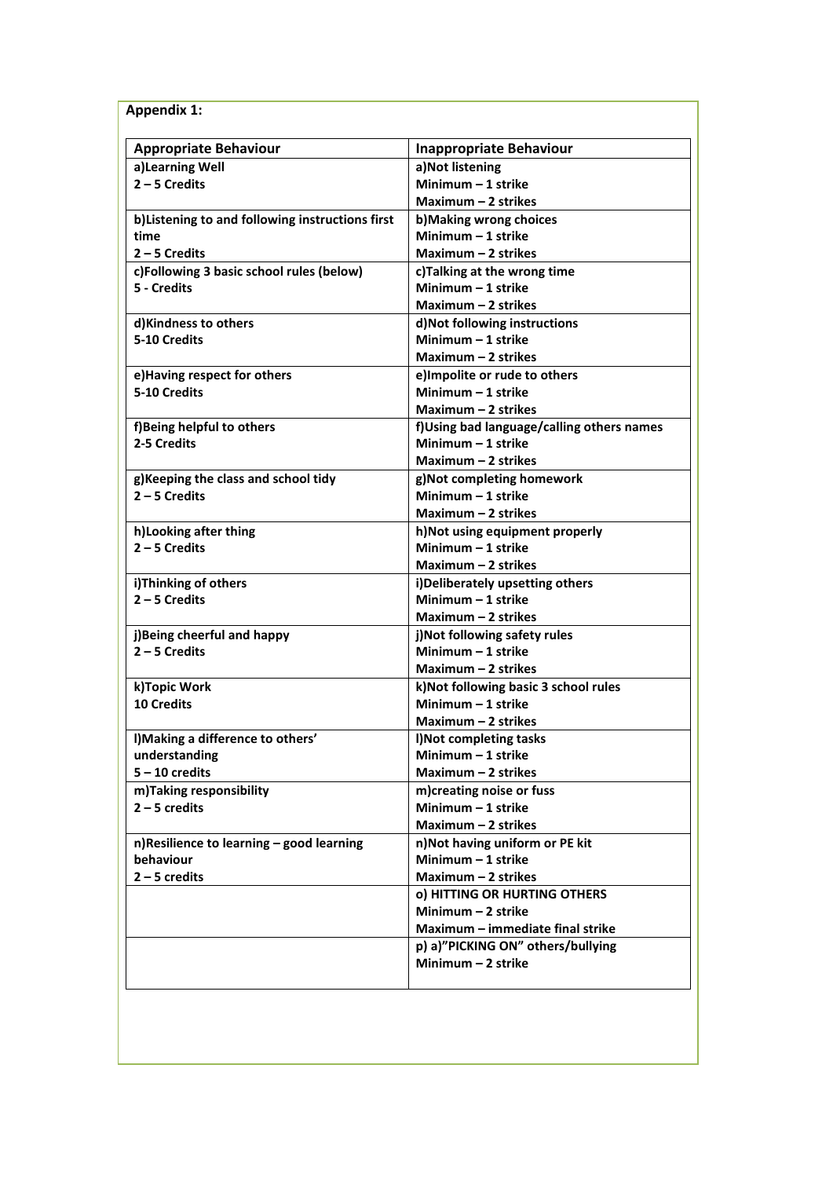| <b>Appendix 1:</b>                               |                                           |
|--------------------------------------------------|-------------------------------------------|
| <b>Appropriate Behaviour</b>                     | <b>Inappropriate Behaviour</b>            |
| a)Learning Well                                  | a)Not listening                           |
| $2 - 5$ Credits                                  | Minimum $-1$ strike                       |
|                                                  | Maximum $-2$ strikes                      |
| b) Listening to and following instructions first | b) Making wrong choices                   |
| time                                             | Minimum - 1 strike                        |
| $2 - 5$ Credits                                  | Maximum $-2$ strikes                      |
| c)Following 3 basic school rules (below)         | c)Talking at the wrong time               |
| 5 - Credits                                      | Minimum $-1$ strike                       |
|                                                  | Maximum - 2 strikes                       |
| d)Kindness to others                             | d) Not following instructions             |
| 5-10 Credits                                     | Minimum $-1$ strike                       |
|                                                  | Maximum $-2$ strikes                      |
| e)Having respect for others                      | e) Impolite or rude to others             |
| 5-10 Credits                                     | Minimum $-1$ strike                       |
|                                                  | Maximum $-2$ strikes                      |
| f)Being helpful to others                        | f)Using bad language/calling others names |
| 2-5 Credits                                      | Minimum - 1 strike                        |
|                                                  | Maximum $-2$ strikes                      |
| g)Keeping the class and school tidy              | g)Not completing homework                 |
| $2 - 5$ Credits                                  | Minimum - 1 strike                        |
|                                                  | Maximum $-2$ strikes                      |
| h)Looking after thing                            | h) Not using equipment properly           |
| $2 - 5$ Credits                                  | Minimum - 1 strike                        |
|                                                  | Maximum - 2 strikes                       |
| i)Thinking of others                             | i)Deliberately upsetting others           |
| $2 - 5$ Credits                                  | Minimum - 1 strike                        |
|                                                  | Maximum $-2$ strikes                      |
| j)Being cheerful and happy                       | j)Not following safety rules              |
| $2 - 5$ Credits                                  | Minimum - 1 strike                        |
|                                                  | Maximum $-$ 2 strikes                     |
| k)Topic Work                                     | k) Not following basic 3 school rules     |
| <b>10 Credits</b>                                | Minimum - 1 strike                        |
|                                                  | Maximum - 2 strikes                       |
| I) Making a difference to others'                | I) Not completing tasks                   |
| understanding                                    | Minimum $-1$ strike                       |
| $5 - 10$ credits                                 | Maximum - 2 strikes                       |
| m)Taking responsibility                          | m)creating noise or fuss                  |
| $2 - 5$ credits                                  | Minimum - 1 strike                        |
|                                                  | Maximum - 2 strikes                       |
| n)Resilience to learning - good learning         | n) Not having uniform or PE kit           |
| behaviour                                        | Minimum $-1$ strike                       |
| $2 - 5$ credits                                  | Maximum - 2 strikes                       |
|                                                  | o) HITTING OR HURTING OTHERS              |
|                                                  | Minimum $-2$ strike                       |
|                                                  | Maximum - immediate final strike          |
|                                                  | p) a)"PICKING ON" others/bullying         |
|                                                  | Minimum $-2$ strike                       |
|                                                  |                                           |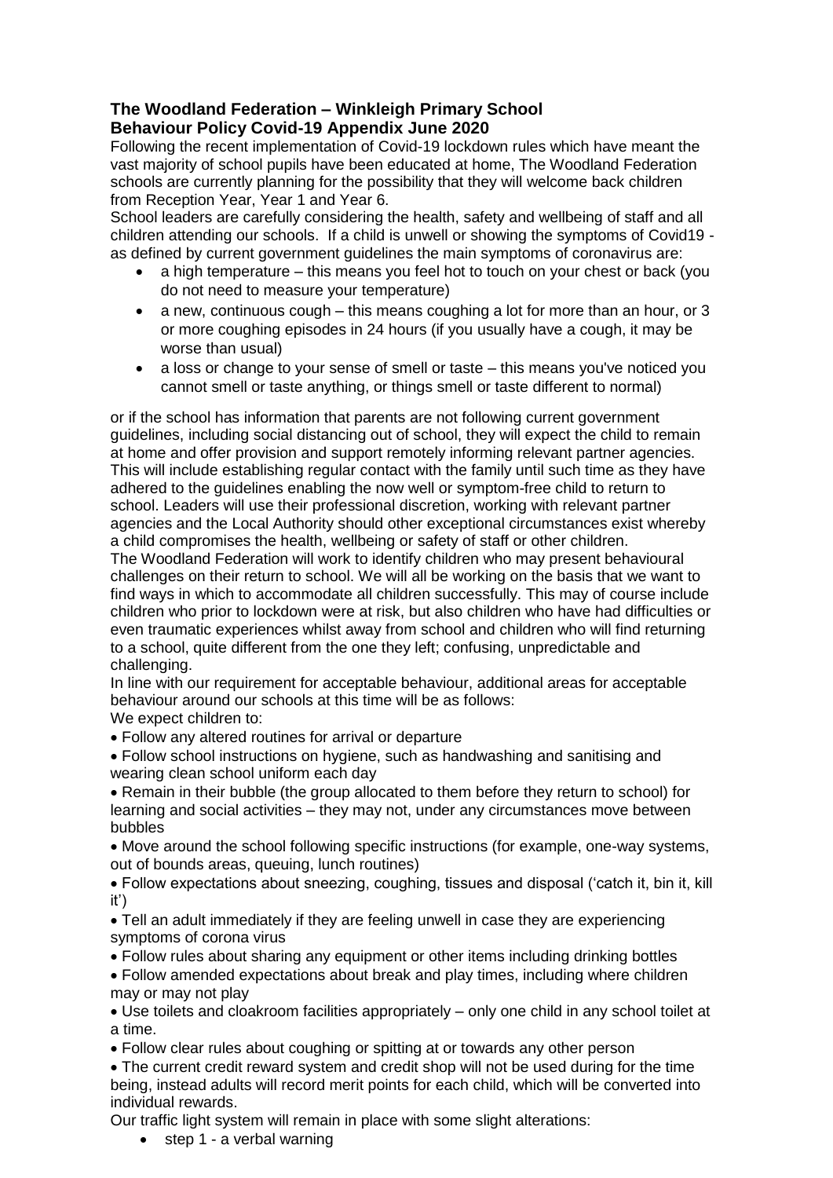## **The Woodland Federation – Winkleigh Primary School Behaviour Policy Covid-19 Appendix June 2020**

Following the recent implementation of Covid-19 lockdown rules which have meant the vast majority of school pupils have been educated at home, The Woodland Federation schools are currently planning for the possibility that they will welcome back children from Reception Year, Year 1 and Year 6.

School leaders are carefully considering the health, safety and wellbeing of staff and all children attending our schools. If a child is unwell or showing the symptoms of Covid19 as defined by current government guidelines the main symptoms of coronavirus are:

- a high temperature this means you feel hot to touch on your chest or back (you do not need to measure your temperature)
- a new, continuous cough this means coughing a lot for more than an hour, or 3 or more coughing episodes in 24 hours (if you usually have a cough, it may be worse than usual)
- a loss or change to your sense of smell or taste this means you've noticed you cannot smell or taste anything, or things smell or taste different to normal)

or if the school has information that parents are not following current government guidelines, including social distancing out of school, they will expect the child to remain at home and offer provision and support remotely informing relevant partner agencies. This will include establishing regular contact with the family until such time as they have adhered to the guidelines enabling the now well or symptom-free child to return to school. Leaders will use their professional discretion, working with relevant partner agencies and the Local Authority should other exceptional circumstances exist whereby a child compromises the health, wellbeing or safety of staff or other children.

The Woodland Federation will work to identify children who may present behavioural challenges on their return to school. We will all be working on the basis that we want to find ways in which to accommodate all children successfully. This may of course include children who prior to lockdown were at risk, but also children who have had difficulties or even traumatic experiences whilst away from school and children who will find returning to a school, quite different from the one they left; confusing, unpredictable and challenging.

In line with our requirement for acceptable behaviour, additional areas for acceptable behaviour around our schools at this time will be as follows:

We expect children to:

- Follow any altered routines for arrival or departure
- Follow school instructions on hygiene, such as handwashing and sanitising and wearing clean school uniform each day
- Remain in their bubble (the group allocated to them before they return to school) for learning and social activities – they may not, under any circumstances move between bubbles
- Move around the school following specific instructions (for example, one-way systems, out of bounds areas, queuing, lunch routines)

 Follow expectations about sneezing, coughing, tissues and disposal ('catch it, bin it, kill it')

 Tell an adult immediately if they are feeling unwell in case they are experiencing symptoms of corona virus

Follow rules about sharing any equipment or other items including drinking bottles

 Follow amended expectations about break and play times, including where children may or may not play

 Use toilets and cloakroom facilities appropriately – only one child in any school toilet at a time.

Follow clear rules about coughing or spitting at or towards any other person

 The current credit reward system and credit shop will not be used during for the time being, instead adults will record merit points for each child, which will be converted into individual rewards.

Our traffic light system will remain in place with some slight alterations:

• step 1 - a verbal warning